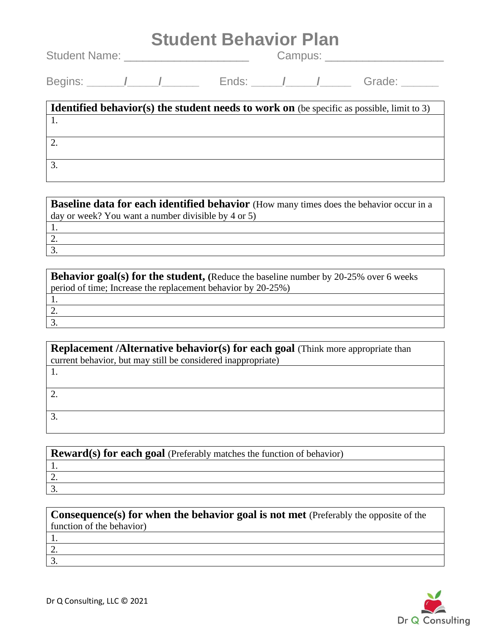| <b>Student Behavior Plan</b>          |  |  |  |              |  |                                                                                                  |
|---------------------------------------|--|--|--|--------------|--|--------------------------------------------------------------------------------------------------|
| Student Name: _______________________ |  |  |  | Campus: 2008 |  |                                                                                                  |
|                                       |  |  |  |              |  |                                                                                                  |
|                                       |  |  |  |              |  | <b>Identified behavior(s) the student needs to work on</b> (be specific as possible, limit to 3) |
|                                       |  |  |  |              |  |                                                                                                  |
| 2.                                    |  |  |  |              |  |                                                                                                  |
| 3.                                    |  |  |  |              |  |                                                                                                  |

| Baseline data for each identified behavior (How many times does the behavior occur in a |
|-----------------------------------------------------------------------------------------|
| $\vert$ day or week? You want a number divisible by 4 or 5)                             |
|                                                                                         |
|                                                                                         |
|                                                                                         |

| <b>Behavior goal(s) for the student, (Reduce the baseline number by 20-25% over 6 weeks</b> |
|---------------------------------------------------------------------------------------------|
| period of time; Increase the replacement behavior by 20-25%)                                |
|                                                                                             |
| ۷.                                                                                          |
|                                                                                             |
|                                                                                             |

| <b>Replacement /Alternative behavior(s) for each goal (Think more appropriate than</b> |  |  |  |
|----------------------------------------------------------------------------------------|--|--|--|
| current behavior, but may still be considered inappropriate)                           |  |  |  |
|                                                                                        |  |  |  |
|                                                                                        |  |  |  |
|                                                                                        |  |  |  |
|                                                                                        |  |  |  |
|                                                                                        |  |  |  |
|                                                                                        |  |  |  |

| $\mathbf{R}$ <b>Reward(s) for each goal</b> (Preferably matches the function of behavior) |
|-------------------------------------------------------------------------------------------|
|                                                                                           |
|                                                                                           |
|                                                                                           |
|                                                                                           |

| <b>Consequence(s) for when the behavior goal is not met</b> (Preferably the opposite of the |  |
|---------------------------------------------------------------------------------------------|--|
| function of the behavior)                                                                   |  |
|                                                                                             |  |
|                                                                                             |  |
| $\mathbf{3}$                                                                                |  |
|                                                                                             |  |
|                                                                                             |  |